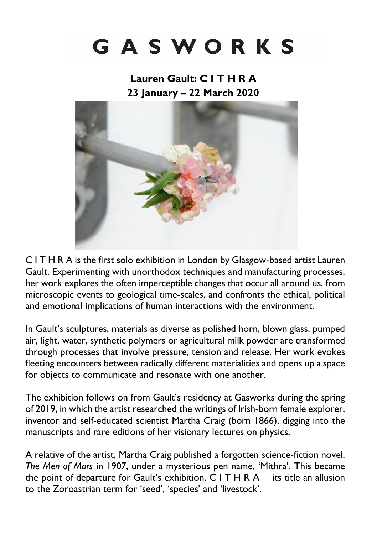# GASWORKS

**Lauren Gault: C I T H R A 23 January – 22 March 2020**



C I T H R A is the first solo exhibition in London by Glasgow-based artist Lauren Gault. Experimenting with unorthodox techniques and manufacturing processes, her work explores the often imperceptible changes that occur all around us, from microscopic events to geological time-scales, and confronts the ethical, political and emotional implications of human interactions with the environment.

In Gault's sculptures, materials as diverse as polished horn, blown glass, pumped air, light, water, synthetic polymers or agricultural milk powder are transformed through processes that involve pressure, tension and release. Her work evokes fleeting encounters between radically different materialities and opens up a space for objects to communicate and resonate with one another.

The exhibition follows on from Gault's residency at Gasworks during the spring of 2019, in which the artist researched the writings of Irish-born female explorer, inventor and self-educated scientist Martha Craig (born 1866), digging into the manuscripts and rare editions of her visionary lectures on physics.

A relative of the artist, Martha Craig published a forgotten science-fiction novel, *The Men of Mars* in 1907, under a mysterious pen name, 'Mithra'. This became the point of departure for Gault's exhibition, C I T H R A —its title an allusion to the Zoroastrian term for 'seed', 'species' and 'livestock'.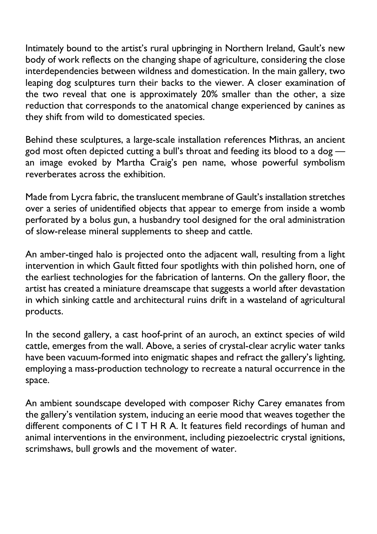Intimately bound to the artist's rural upbringing in Northern Ireland, Gault's new body of work reflects on the changing shape of agriculture, considering the close interdependencies between wildness and domestication. In the main gallery, two leaping dog sculptures turn their backs to the viewer. A closer examination of the two reveal that one is approximately 20% smaller than the other, a size reduction that corresponds to the anatomical change experienced by canines as they shift from wild to domesticated species.

Behind these sculptures, a large-scale installation references Mithras, an ancient god most often depicted cutting a bull's throat and feeding its blood to a dog an image evoked by Martha Craig's pen name, whose powerful symbolism reverberates across the exhibition.

Made from Lycra fabric, the translucent membrane of Gault's installation stretches over a series of unidentified objects that appear to emerge from inside a womb perforated by a bolus gun, a husbandry tool designed for the oral administration of slow-release mineral supplements to sheep and cattle.

An amber-tinged halo is projected onto the adjacent wall, resulting from a light intervention in which Gault fitted four spotlights with thin polished horn, one of the earliest technologies for the fabrication of lanterns. On the gallery floor, the artist has created a miniature dreamscape that suggests a world after devastation in which sinking cattle and architectural ruins drift in a wasteland of agricultural products.

In the second gallery, a cast hoof-print of an auroch, an extinct species of wild cattle, emerges from the wall. Above, a series of crystal-clear acrylic water tanks have been vacuum-formed into enigmatic shapes and refract the gallery's lighting, employing a mass-production technology to recreate a natural occurrence in the space.

An ambient soundscape developed with composer Richy Carey emanates from the gallery's ventilation system, inducing an eerie mood that weaves together the different components of C I T H R A. It features field recordings of human and animal interventions in the environment, including piezoelectric crystal ignitions, scrimshaws, bull growls and the movement of water.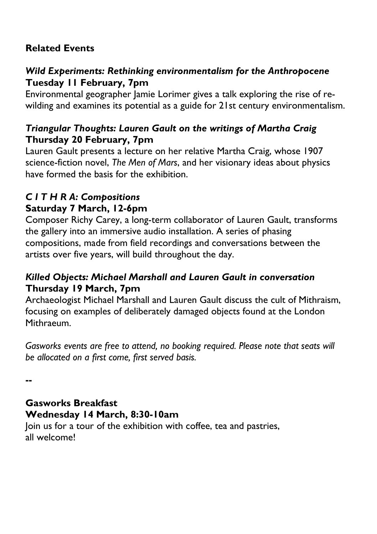## **Related Events**

## *Wild Experiments: Rethinking environmentalism for the Anthropocene* **Tuesday 11 February, 7pm**

Environmental geographer Jamie Lorimer gives a talk exploring the rise of rewilding and examines its potential as a guide for 21st century environmentalism.

## *Triangular Thoughts: Lauren Gault on the writings of Martha Craig* **Thursday 20 February, 7pm**

Lauren Gault presents a lecture on her relative Martha Craig, whose 1907 science-fiction novel, *The Men of Mars*, and her visionary ideas about physics have formed the basis for the exhibition.

#### *C I T H R A: Compositions* **Saturday 7 March, 12-6pm**

Composer Richy Carey, a long-term collaborator of Lauren Gault, transforms the gallery into an immersive audio installation. A series of phasing compositions, made from field recordings and conversations between the artists over five years, will build throughout the day.

## *Killed Objects: Michael Marshall and Lauren Gault in conversation* **Thursday 19 March, 7pm**

Archaeologist Michael Marshall and Lauren Gault discuss the cult of Mithraism, focusing on examples of deliberately damaged objects found at the London Mithraeum.

*Gasworks events are free to attend, no booking required. Please note that seats will be allocated on a first come, first served basis.*

**--**

## **Gasworks Breakfast Wednesday 14 March, 8:30-10am**

Join us for a tour of the exhibition with coffee, tea and pastries, all welcome!